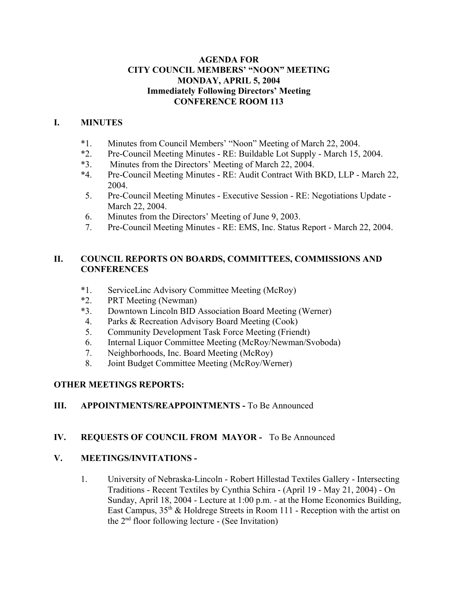# **AGENDA FOR CITY COUNCIL MEMBERS' "NOON" MEETING MONDAY, APRIL 5, 2004 Immediately Following Directors' Meeting CONFERENCE ROOM 113**

# **I. MINUTES**

- \*1. Minutes from Council Members' "Noon" Meeting of March 22, 2004.
- \*2. Pre-Council Meeting Minutes RE: Buildable Lot Supply March 15, 2004.
- \*3. Minutes from the Directors' Meeting of March 22, 2004.
- \*4. Pre-Council Meeting Minutes RE: Audit Contract With BKD, LLP March 22, 2004.
- 5. Pre-Council Meeting Minutes Executive Session RE: Negotiations Update March 22, 2004.
- 6. Minutes from the Directors' Meeting of June 9, 2003.
- 7. Pre-Council Meeting Minutes RE: EMS, Inc. Status Report March 22, 2004.

# **II. COUNCIL REPORTS ON BOARDS, COMMITTEES, COMMISSIONS AND CONFERENCES**

- \*1. ServiceLinc Advisory Committee Meeting (McRoy)
- \*2. PRT Meeting (Newman)
- \*3. Downtown Lincoln BID Association Board Meeting (Werner)
- 4. Parks & Recreation Advisory Board Meeting (Cook)
- 5. Community Development Task Force Meeting (Friendt)
- 6. Internal Liquor Committee Meeting (McRoy/Newman/Svoboda)
- 7. Neighborhoods, Inc. Board Meeting (McRoy)
- 8. Joint Budget Committee Meeting (McRoy/Werner)

# **OTHER MEETINGS REPORTS:**

# **III. APPOINTMENTS/REAPPOINTMENTS - To Be Announced**

# **IV. REQUESTS OF COUNCIL FROM MAYOR -** To Be Announced

# **V. MEETINGS/INVITATIONS -**

1. University of Nebraska-Lincoln - Robert Hillestad Textiles Gallery - Intersecting Traditions - Recent Textiles by Cynthia Schira - (April 19 - May 21, 2004) - On Sunday, April 18, 2004 - Lecture at 1:00 p.m. - at the Home Economics Building, East Campus,  $35<sup>th</sup>$  & Holdrege Streets in Room 111 - Reception with the artist on the  $2<sup>nd</sup>$  floor following lecture - (See Invitation)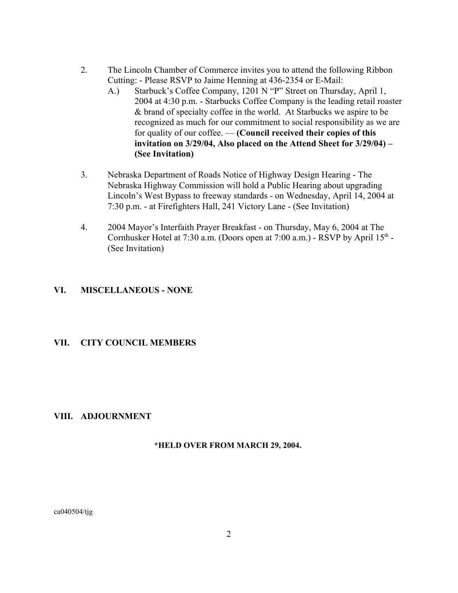- 2. The Lincoln Chamber of Commerce invites you to attend the following Ribbon Cutting: - Please RSVP to Jaime Henning at 436-2354 or E-Mail:
	- A.) Starbuck's Coffee Company, 1201 N "P" Street on Thursday, April 1, 2004 at 4:30 p.m. - Starbucks Coffee Company is the leading retail roaster & brand of specialty coffee in the world. At Starbucks we aspire to be recognized as much for our commitment to social responsibility as we are for quality of our coffee. — **(Council received their copies of this invitation on 3/29/04, Also placed on the Attend Sheet for 3/29/04) – (See Invitation)**
- 3. Nebraska Department of Roads Notice of Highway Design Hearing The Nebraska Highway Commission will hold a Public Hearing about upgrading Lincoln's West Bypass to freeway standards - on Wednesday, April 14, 2004 at 7:30 p.m. - at Firefighters Hall, 241 Victory Lane - (See Invitation)
- 4. 2004 Mayor's Interfaith Prayer Breakfast on Thursday, May 6, 2004 at The Cornhusker Hotel at 7:30 a.m. (Doors open at 7:00 a.m.) - RSVP by April  $15<sup>th</sup>$  -(See Invitation)

## **VI. MISCELLANEOUS - NONE**

### **VII. CITY COUNCIL MEMBERS**

#### **VIII. ADJOURNMENT**

#### **\*HELD OVER FROM MARCH 29, 2004.**

ca040504/tjg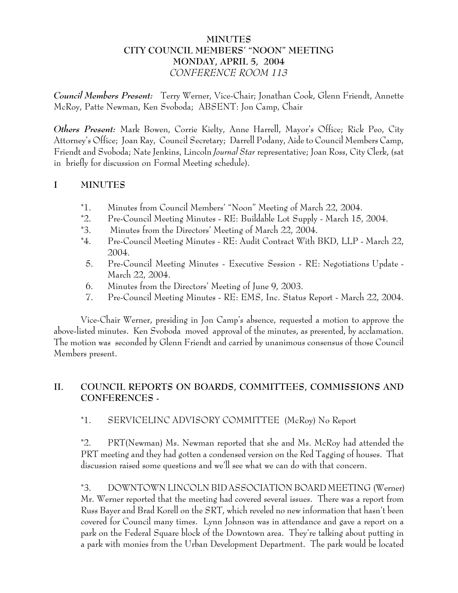# **MINUTES CITY COUNCIL MEMBERS' "NOON" MEETING MONDAY, APRIL 5, 2004** *CONFERENCE ROOM 113*

*Council Members Present:* Terry Werner, Vice-Chair; Jonathan Cook, Glenn Friendt, Annette McRoy, Patte Newman, Ken Svoboda; ABSENT: Jon Camp, Chair

*Others Present:* Mark Bowen, Corrie Kielty, Anne Harrell, Mayor's Office; Rick Peo, City Attorney's Office; Joan Ray, Council Secretary; Darrell Podany, Aide to Council Members Camp, Friendt and Svoboda; Nate Jenkins, Lincoln *Journal Star* representative; Joan Ross, City Clerk, (sat in briefly for discussion on Formal Meeting schedule).

# **I MINUTES**

- \*1. Minutes from Council Members' "Noon" Meeting of March 22, 2004.
- \*2. Pre-Council Meeting Minutes RE: Buildable Lot Supply March 15, 2004.
- \*3. Minutes from the Directors' Meeting of March 22, 2004.
- \*4. Pre-Council Meeting Minutes RE: Audit Contract With BKD, LLP March 22, 2004.
- 5. Pre-Council Meeting Minutes Executive Session RE: Negotiations Update March 22, 2004.
- 6. Minutes from the Directors' Meeting of June 9, 2003.
- 7. Pre-Council Meeting Minutes RE: EMS, Inc. Status Report March 22, 2004.

Vice-Chair Werner, presiding in Jon Camp's absence, requested a motion to approve the above-listed minutes. Ken Svoboda moved approval of the minutes, as presented, by acclamation. The motion was seconded by Glenn Friendt and carried by unanimous consensus of those Council Members present.

# **II. COUNCIL REPORTS ON BOARDS, COMMITTEES, COMMISSIONS AND CONFERENCES -**

# \*1. SERVICELINC ADVISORY COMMITTEE (McRoy) No Report

\*2. PRT(Newman) Ms. Newman reported that she and Ms. McRoy had attended the PRT meeting and they had gotten a condensed version on the Red Tagging of houses. That discussion raised some questions and we'll see what we can do with that concern.

\*3. DOWNTOWN LINCOLN BID ASSOCIATION BOARD MEETING (Werner) Mr. Werner reported that the meeting had covered several issues. There was a report from Russ Bayer and Brad Korell on the SRT, which reveled no new information that hasn't been covered for Council many times. Lynn Johnson was in attendance and gave a report on a park on the Federal Square block of the Downtown area. They're talking about putting in a park with monies from the Urban Development Department. The park would be located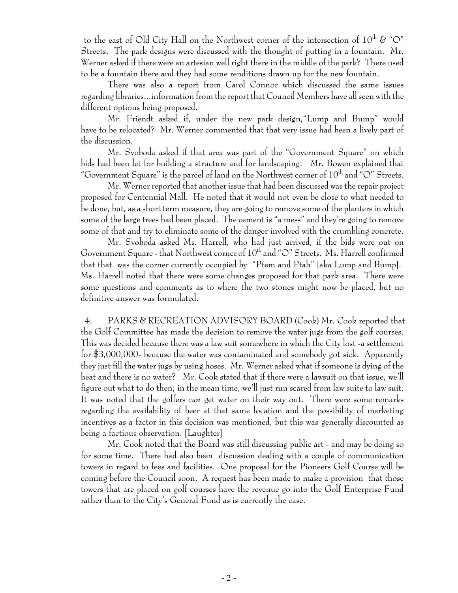to the east of Old City Hall on the Northwest corner of the intersection of  $10^{th}$  & "O" Streets. The park designs were discussed with the thought of putting in a fountain. Mr. Werner asked if there were an artesian well right there in the middle of the park? There used to be a fountain there and they had some renditions drawn up for the new fountain.

There was also a report from Carol Connor which discussed the same issues regarding libraries...information from the report that Council Members have all seen with the different options being proposed.

Mr. Friendt asked if, under the new park design,"Lump and Bump" would have to be relocated? Mr. Werner commented that that very issue had been a lively part of the discussion.

Mr. Svoboda asked if that area was part of the "Government Square" on which bids had been let for building a structure and for landscaping. Mr. Bowen explained that "Government Square" is the parcel of land on the Northwest corner of 10<sup>th</sup> and "O" Streets.

Mr. Werner reported that another issue that had been discussed was the repair project proposed for Centennial Mall. He noted that it would not even be close to what needed to be done, but, as a short term measure, they are going to remove some of the planters in which some of the large trees had been placed. The cement is "a mess" and they're going to remove some of that and try to eliminate some of the danger involved with the crumbling concrete.

Mr. Svoboda asked Ms. Harrell, who had just arrived, if the bids were out on Government Square - that Northwest corner of  $10^{th}$  and "O" Streets. Ms. Harrell confirmed that that was the corner currently occupied by "Ptem and Ptah" [aka Lump and Bump]. Ms. Harrell noted that there were some changes proposed for that park area. There were some questions and comments as to where the two stones might now be placed, but no definitive answer was formulated.

 4. PARKS & RECREATION ADVISORY BOARD (Cook) Mr. Cook reported that the Golf Committee has made the decision to remove the water jugs from the golf courses. This was decided because there was a law suit somewhere in which the City lost -a settlement for \$3,000,000- because the water was contaminated and somebody got sick. Apparently they just fill the water jugs by using hoses. Mr. Werner asked what if someone is dying of the heat and there is no water? Mr. Cook stated that if there were a lawsuit on that issue, we'll figure out what to do then; in the mean time, we'll just run scared from law suite to law suit. It was noted that the golfers *can* get water on their way out. There were some remarks regarding the availability of beer at that same location and the possibility of marketing incentives as a factor in this decision was mentioned, but this was generally discounted as being a factious observation. [Laughter]

Mr. Cook noted that the Board was still discussing public art - and may be doing so for some time. There had also been discussion dealing with a couple of communication towers in regard to fees and facilities. One proposal for the Pioneers Golf Course will be coming before the Council soon. A request has been made to make a provision that those towers that are placed on golf courses have the revenue go into the Golf Enterprise Fund rather than to the City's General Fund as is currently the case.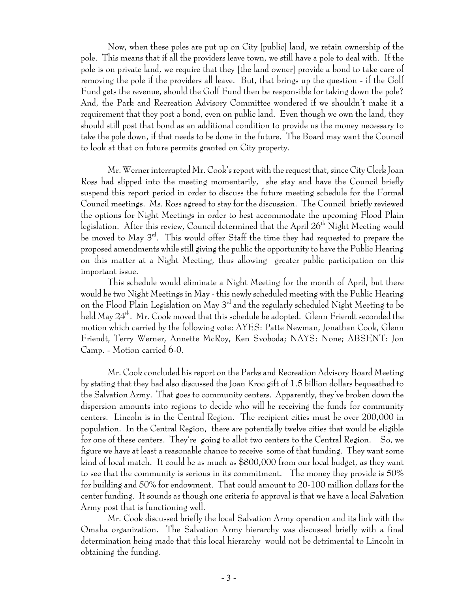Now, when these poles are put up on City [public] land, we retain ownership of the pole. This means that if all the providers leave town, we still have a pole to deal with. If the pole is on private land, we require that they [the land owner] provide a bond to take care of removing the pole if the providers all leave. But, that brings up the question - if the Golf Fund gets the revenue, should the Golf Fund then be responsible for taking down the pole? And, the Park and Recreation Advisory Committee wondered if we shouldn't make it a requirement that they post a bond, even on public land. Even though we own the land, they should still post that bond as an additional condition to provide us the money necessary to take the pole down, if that needs to be done in the future. The Board may want the Council to look at that on future permits granted on City property.

Mr. Werner interrupted Mr. Cook's report with the request that, since City Clerk Joan Ross had slipped into the meeting momentarily, she stay and have the Council briefly suspend this report period in order to discuss the future meeting schedule for the Formal Council meetings. Ms. Ross agreed to stay for the discussion. The Council briefly reviewed the options for Night Meetings in order to best accommodate the upcoming Flood Plain legislation. After this review, Council determined that the April  $26^{\rm th}$  Night Meeting would be moved to May 3rd. This would offer Staff the time they had requested to prepare the proposed amendments while still giving the public the opportunity to have the Public Hearing on this matter at a Night Meeting, thus allowing greater public participation on this important issue.

This schedule would eliminate a Night Meeting for the month of April, but there would be two Night Meetings in May - this newly scheduled meeting with the Public Hearing on the Flood Plain Legislation on May 3rd and the regularly scheduled Night Meeting to be held May 24th. Mr. Cook moved that this schedule be adopted. Glenn Friendt seconded the motion which carried by the following vote: AYES: Patte Newman, Jonathan Cook, Glenn Friendt, Terry Werner, Annette McRoy, Ken Svoboda; NAYS: None; ABSENT: Jon Camp. - Motion carried 6-0.

Mr. Cook concluded his report on the Parks and Recreation Advisory Board Meeting by stating that they had also discussed the Joan Kroc gift of 1.5 billion dollars bequeathed to the Salvation Army. That goes to community centers. Apparently, they've broken down the dispersion amounts into regions to decide who will be receiving the funds for community centers. Lincoln is in the Central Region. The recipient cities must be over 200,000 in population. In the Central Region, there are potentially twelve cities that would be eligible for one of these centers. They're going to allot two centers to the Central Region. So, we figure we have at least a reasonable chance to receive some of that funding. They want some kind of local match. It could be as much as \$800,000 from our local budget, as they want to see that the community is serious in its commitment. The money they provide is 50% for building and 50% for endowment. That could amount to 20-100 million dollars for the center funding. It sounds as though one criteria fo approval is that we have a local Salvation Army post that is functioning well.

Mr. Cook discussed briefly the local Salvation Army operation and its link with the Omaha organization. The Salvation Army hierarchy was discussed briefly with a final determination being made that this local hierarchy would not be detrimental to Lincoln in obtaining the funding.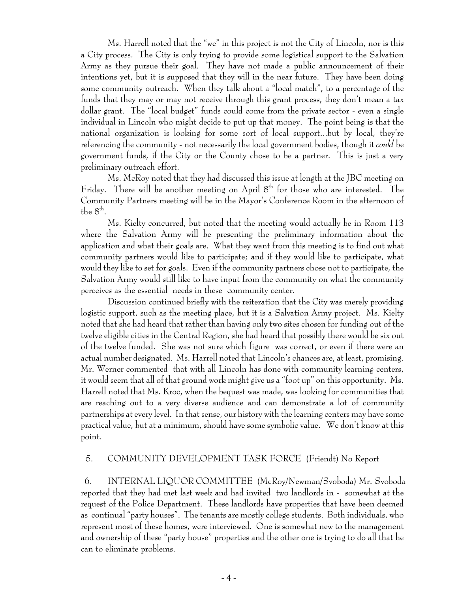Ms. Harrell noted that the "we" in this project is not the City of Lincoln, nor is this a City process. The City is only trying to provide some logistical support to the Salvation Army as they pursue their goal. They have not made a public announcement of their intentions yet, but it is supposed that they will in the near future. They have been doing some community outreach. When they talk about a "local match", to a percentage of the funds that they may or may not receive through this grant process, they don't mean a tax dollar grant. The "local budget" funds could come from the private sector - even a single individual in Lincoln who might decide to put up that money. The point being is that the national organization is looking for some sort of local support...but by local, they're referencing the community - not necessarily the local government bodies, though it *could* be government funds, if the City or the County chose to be a partner. This is just a very preliminary outreach effort.

Ms. McRoy noted that they had discussed this issue at length at the JBC meeting on Friday. There will be another meeting on April  $8<sup>th</sup>$  for those who are interested. The Community Partners meeting will be in the Mayor's Conference Room in the afternoon of the  $8^{\rm th}$ .

Ms. Kielty concurred, but noted that the meeting would actually be in Room 113 where the Salvation Army will be presenting the preliminary information about the application and what their goals are. What they want from this meeting is to find out what community partners would like to participate; and if they would like to participate, what would they like to set for goals. Even if the community partners chose not to participate, the Salvation Army would still like to have input from the community on what the community perceives as the essential needs in these community center.

Discussion continued briefly with the reiteration that the City was merely providing logistic support, such as the meeting place, but it is a Salvation Army project. Ms. Kielty noted that she had heard that rather than having only two sites chosen for funding out of the twelve eligible cities in the Central Region, she had heard that possibly there would be six out of the twelve funded. She was not sure which figure was correct, or even if there were an actual number designated. Ms. Harrell noted that Lincoln's chances are, at least, promising. Mr. Werner commented that with all Lincoln has done with community learning centers, it would seem that all of that ground work might give us a "foot up" on this opportunity. Ms. Harrell noted that Ms. Kroc, when the bequest was made, was looking for communities that are reaching out to a very diverse audience and can demonstrate a lot of community partnerships at every level. In that sense, our history with the learning centers may have some practical value, but at a minimum, should have some symbolic value. We don't know at this point.

# 5. COMMUNITY DEVELOPMENT TASK FORCE (Friendt) No Report

 6. INTERNAL LIQUOR COMMITTEE (McRoy/Newman/Svoboda) Mr. Svoboda reported that they had met last week and had invited two landlords in - somewhat at the request of the Police Department. These landlords have properties that have been deemed as continual "party houses". The tenants are mostly college students. Both individuals, who represent most of these homes, were interviewed. One is somewhat new to the management and ownership of these "party house" properties and the other one is trying to do all that he can to eliminate problems.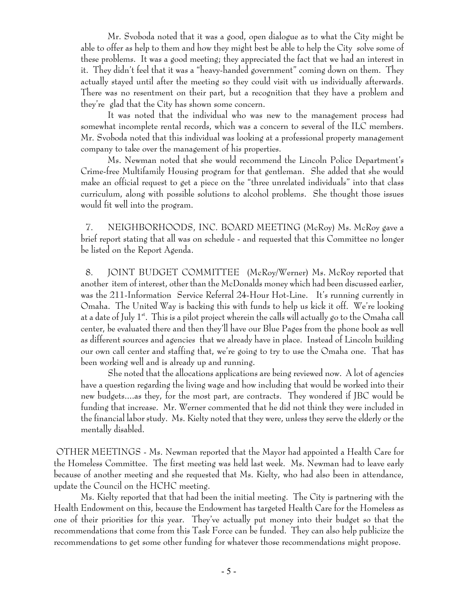Mr. Svoboda noted that it was a good, open dialogue as to what the City might be able to offer as help to them and how they might best be able to help the City solve some of these problems. It was a good meeting; they appreciated the fact that we had an interest in it. They didn't feel that it was a "heavy-handed government" coming down on them. They actually stayed until after the meeting so they could visit with us individually afterwards. There was no resentment on their part, but a recognition that they have a problem and they're glad that the City has shown some concern.

It was noted that the individual who was new to the management process had somewhat incomplete rental records, which was a concern to several of the ILC members. Mr. Svoboda noted that this individual was looking at a professional property management company to take over the management of his properties.

Ms. Newman noted that she would recommend the Lincoln Police Department's Crime-free Multifamily Housing program for that gentleman. She added that she would make an official request to get a piece on the "three unrelated individuals" into that class curriculum, along with possible solutions to alcohol problems. She thought those issues would fit well into the program.

 7. NEIGHBORHOODS, INC. BOARD MEETING (McRoy) Ms. McRoy gave a brief report stating that all was on schedule - and requested that this Committee no longer be listed on the Report Agenda.

 8. JOINT BUDGET COMMITTEE (McRoy/Werner) Ms. McRoy reported that another item of interest, other than the McDonalds money which had been discussed earlier, was the 211-Information Service Referral 24-Hour Hot-Line. It's running currently in Omaha. The United Way is backing this with funds to help us kick it off. We're looking at a date of July  $1^{st}$ . This is a pilot project wherein the calls will actually go to the Omaha call center, be evaluated there and then they'll have our Blue Pages from the phone book as well as different sources and agencies that we already have in place. Instead of Lincoln building our own call center and staffing that, we're going to try to use the Omaha one. That has been working well and is already up and running.

She noted that the allocations applications are being reviewed now. A lot of agencies have a question regarding the living wage and how including that would be worked into their new budgets....as they, for the most part, are contracts. They wondered if JBC would be funding that increase. Mr. Werner commented that he did not think they were included in the financial labor study. Ms. Kielty noted that they were, unless they serve the elderly or the mentally disabled.

 OTHER MEETINGS - Ms. Newman reported that the Mayor had appointed a Health Care for the Homeless Committee. The first meeting was held last week. Ms. Newman had to leave early because of another meeting and she requested that Ms. Kielty, who had also been in attendance, update the Council on the HCHC meeting.

Ms. Kielty reported that that had been the initial meeting. The City is partnering with the Health Endowment on this, because the Endowment has targeted Health Care for the Homeless as one of their priorities for this year. They've actually put money into their budget so that the recommendations that come from this Task Force can be funded. They can also help publicize the recommendations to get some other funding for whatever those recommendations might propose.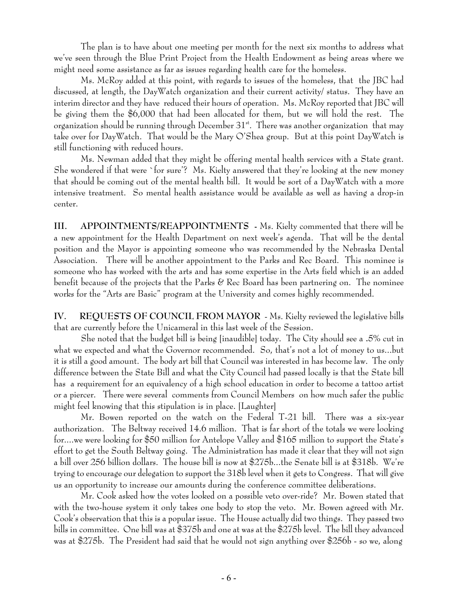The plan is to have about one meeting per month for the next six months to address what we've seen through the Blue Print Project from the Health Endowment as being areas where we might need some assistance as far as issues regarding health care for the homeless.

Ms. McRoy added at this point, with regards to issues of the homeless, that the JBC had discussed, at length, the DayWatch organization and their current activity/ status. They have an interim director and they have reduced their hours of operation. Ms. McRoy reported that JBC will be giving them the \$6,000 that had been allocated for them, but we will hold the rest. The organization should be running through December  $31^{st}$ . There was another organization that may take over for DayWatch. That would be the Mary O'Shea group. But at this point DayWatch is still functioning with reduced hours.

Ms. Newman added that they might be offering mental health services with a State grant. She wondered if that were `for sure'? Ms. Kielty answered that they're looking at the new money that should be coming out of the mental health bill. It would be sort of a DayWatch with a more intensive treatment. So mental health assistance would be available as well as having a drop-in center.

**III. APPOINTMENTS/REAPPOINTMENTS -** Ms. Kielty commented that there will be a new appointment for the Health Department on next week's agenda. That will be the dental position and the Mayor is appointing someone who was recommended by the Nebraska Dental Association. There will be another appointment to the Parks and Rec Board. This nominee is someone who has worked with the arts and has some expertise in the Arts field which is an added benefit because of the projects that the Parks & Rec Board has been partnering on. The nominee works for the "Arts are Basic" program at the University and comes highly recommended.

**IV. REQUESTS OF COUNCIL FROM MAYOR** - Ms. Kielty reviewed the legislative bills that are currently before the Unicameral in this last week of the Session.

She noted that the budget bill is being [inaudible] today. The City should see a **.**5% cut in what we expected and what the Governor recommended. So, that's not a lot of money to us...but it is still a good amount. The body art bill that Council was interested in has become law. The only difference between the State Bill and what the City Council had passed locally is that the State bill has a requirement for an equivalency of a high school education in order to become a tattoo artist or a piercer. There were several comments from Council Members on how much safer the public might feel knowing that this stipulation is in place. [Laughter]

Mr. Bowen reported on the watch on the Federal T-21 bill. There was a six-year authorization. The Beltway received 14.6 million. That is far short of the totals we were looking for....we were looking for \$50 million for Antelope Valley and \$165 million to support the State's effort to get the South Beltway going. The Administration has made it clear that they will not sign a bill over 256 billion dollars. The house bill is now at \$275b...the Senate bill is at \$318b. We're trying to encourage our delegation to support the 318b level when it gets to Congress. That will give us an opportunity to increase our amounts during the conference committee deliberations.

Mr. Cook asked how the votes looked on a possible veto over-ride? Mr. Bowen stated that with the two-house system it only takes one body to stop the veto. Mr. Bowen agreed with Mr. Cook's observation that this is a popular issue. The House actually did two things. They passed two bills in committee. One bill was at \$375b and one at was at the \$275b level. The bill they advanced was at \$275b. The President had said that he would not sign anything over \$256b - so we, along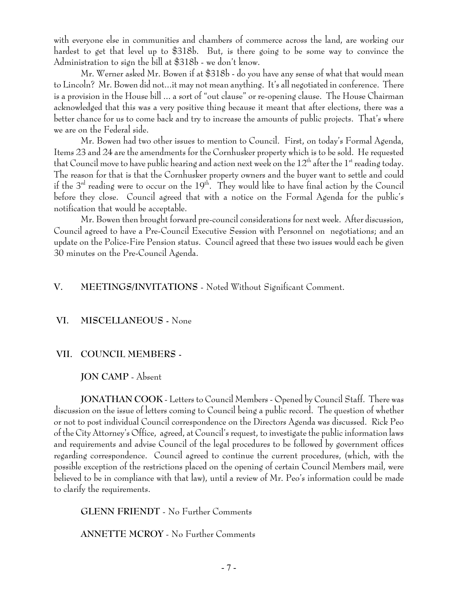with everyone else in communities and chambers of commerce across the land, are working our hardest to get that level up to \$318b. But, is there going to be some way to convince the Administration to sign the bill at \$318b - we don't know.

Mr. Werner asked Mr. Bowen if at \$318b - do you have any sense of what that would mean to Lincoln? Mr. Bowen did not...it may not mean anything. It's all negotiated in conference. There is a provision in the House bill ... a sort of "out clause" or re-opening clause. The House Chairman acknowledged that this was a very positive thing because it meant that after elections, there was a better chance for us to come back and try to increase the amounts of public projects. That's where we are on the Federal side.

Mr. Bowen had two other issues to mention to Council. First, on today's Formal Agenda, Items 23 and 24 are the amendments for the Cornhusker property which is to be sold. He requested that Council move to have public hearing and action next week on the  $12^{th}$  after the  $1^{st}$  reading today. The reason for that is that the Cornhusker property owners and the buyer want to settle and could if the  $3<sup>rd</sup>$  reading were to occur on the  $19<sup>th</sup>$ . They would like to have final action by the Council before they close. Council agreed that with a notice on the Formal Agenda for the public's notification that would be acceptable.

Mr. Bowen then brought forward pre-council considerations for next week. After discussion, Council agreed to have a Pre-Council Executive Session with Personnel on negotiations; and an update on the Police-Fire Pension status. Council agreed that these two issues would each be given 30 minutes on the Pre-Council Agenda.

## **V. MEETINGS/INVITATIONS** - Noted Without Significant Comment.

#### **VI. MISCELLANEOUS -** None

### **VII. COUNCIL MEMBERS -**

## **JON CAMP** - Absent

**JONATHAN COOK** - Letters to Council Members - Opened by Council Staff. There was discussion on the issue of letters coming to Council being a public record. The question of whether or not to post individual Council correspondence on the Directors Agenda was discussed. Rick Peo of the City Attorney's Office, agreed, at Council's request, to investigate the public information laws and requirements and advise Council of the legal procedures to be followed by government offices regarding correspondence. Council agreed to continue the current procedures, (which, with the possible exception of the restrictions placed on the opening of certain Council Members mail, were believed to be in compliance with that law), until a review of Mr. Peo's information could be made to clarify the requirements.

**GLENN FRIENDT** - No Further Comments

**ANNETTE MCROY** - No Further Comments